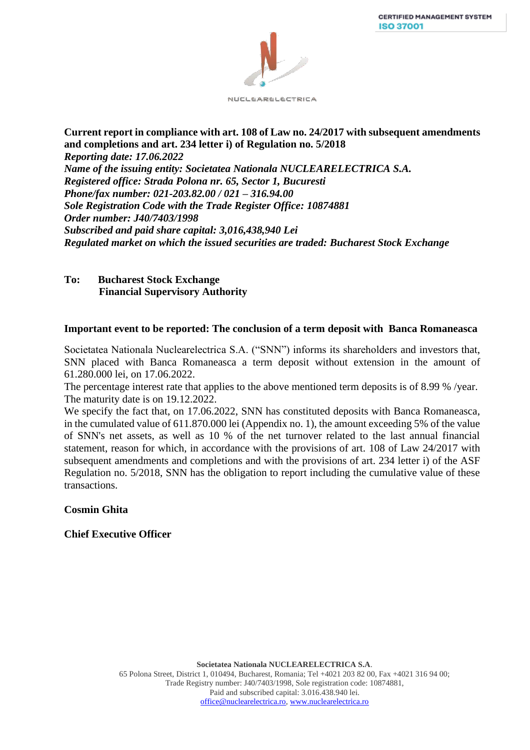

### **Current report in compliance with art. 108 of Law no. 24/2017 with subsequent amendments and completions and art. 234 letter i) of Regulation no. 5/2018**  *Reporting date: 17.06.2022 Name of the issuing entity: Societatea Nationala NUCLEARELECTRICA S.A. Registered office: Strada Polona nr. 65, Sector 1, Bucuresti Phone/fax number: 021-203.82.00 / 021 – 316.94.00 Sole Registration Code with the Trade Register Office: 10874881 Order number: J40/7403/1998 Subscribed and paid share capital: 3,016,438,940 Lei Regulated market on which the issued securities are traded: Bucharest Stock Exchange*

### **To: Bucharest Stock Exchange Financial Supervisory Authority**

# **Important event to be reported: The conclusion of a term deposit with Banca Romaneasca**

Societatea Nationala Nuclearelectrica S.A. ("SNN") informs its shareholders and investors that, SNN placed with Banca Romaneasca a term deposit without extension in the amount of 61.280.000 lei, on 17.06.2022.

The percentage interest rate that applies to the above mentioned term deposits is of 8.99 % /year. The maturity date is on 19.12.2022.

We specify the fact that, on 17.06.2022, SNN has constituted deposits with Banca Romaneasca, in the cumulated value of 611.870.000 lei (Appendix no. 1), the amount exceeding 5% of the value of SNN's net assets, as well as 10 % of the net turnover related to the last annual financial statement, reason for which, in accordance with the provisions of art. 108 of Law 24/2017 with subsequent amendments and completions and with the provisions of art. 234 letter i) of the ASF Regulation no. 5/2018, SNN has the obligation to report including the cumulative value of these transactions.

# **Cosmin Ghita**

# **Chief Executive Officer**